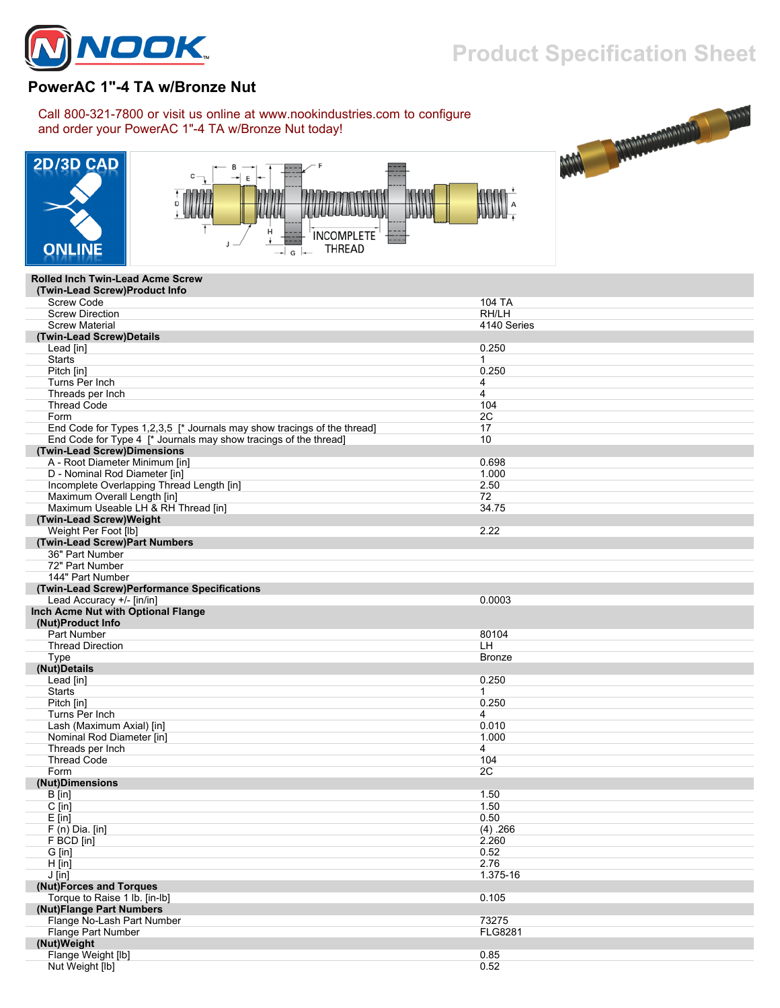

## **Product Specification Sheet**

## **PowerAC 1"-4 TA w/Bronze Nut**

Call 800-321-7800 or visit us online at www.nookindustries.com to configure and order your PowerAC 1"-4 TA w/Bronze Nut today!







## **Rolled Inch Twin-Lead Acme Screw**

| (Twin-Lead Screw)Product Info                                           |                |
|-------------------------------------------------------------------------|----------------|
| <b>Screw Code</b>                                                       | 104 TA         |
| <b>Screw Direction</b>                                                  | RH/LH          |
| <b>Screw Material</b>                                                   | 4140 Series    |
| (Twin-Lead Screw)Details                                                |                |
| Lead [in]                                                               | 0.250          |
| <b>Starts</b>                                                           | $\mathbf{1}$   |
| Pitch [in]                                                              | 0.250          |
| Turns Per Inch                                                          | 4              |
| Threads per Inch                                                        | 4              |
| <b>Thread Code</b>                                                      | 104            |
| Form                                                                    | 2C             |
| End Code for Types 1,2,3,5 [* Journals may show tracings of the thread] | 17             |
| End Code for Type 4 [* Journals may show tracings of the thread]        | 10             |
| (Twin-Lead Screw)Dimensions                                             |                |
| A - Root Diameter Minimum [in]                                          | 0.698          |
| D - Nominal Rod Diameter [in]                                           | 1.000          |
| Incomplete Overlapping Thread Length [in]                               | 2.50           |
| Maximum Overall Length [in]                                             | 72             |
| Maximum Useable LH & RH Thread [in]                                     | 34.75          |
| (Twin-Lead Screw)Weight                                                 |                |
| Weight Per Foot [lb]                                                    | 2.22           |
|                                                                         |                |
| (Twin-Lead Screw)Part Numbers<br>36" Part Number                        |                |
|                                                                         |                |
| 72" Part Number                                                         |                |
| 144" Part Number                                                        |                |
| (Twin-Lead Screw)Performance Specifications                             |                |
| Lead Accuracy +/- [in/in]                                               | 0.0003         |
| Inch Acme Nut with Optional Flange                                      |                |
| (Nut)Product Info                                                       |                |
| <b>Part Number</b>                                                      | 80104          |
| <b>Thread Direction</b>                                                 | LH.            |
| Type                                                                    | <b>Bronze</b>  |
| (Nut)Details                                                            |                |
| Lead [in]                                                               | 0.250          |
| <b>Starts</b>                                                           | 1              |
| Pitch [in]                                                              | 0.250          |
| Turns Per Inch                                                          | 4              |
| Lash (Maximum Axial) [in]                                               | 0.010          |
| Nominal Rod Diameter [in]                                               | 1.000          |
| Threads per Inch                                                        | 4              |
| <b>Thread Code</b>                                                      | 104            |
| Form                                                                    | 2C             |
| (Nut)Dimensions                                                         |                |
| $B$ [in]                                                                | 1.50           |
| $C$ [in]                                                                | 1.50           |
| $E$ [in]                                                                | 0.50           |
| $F(n)$ Dia. [in]                                                        | (4) .266       |
| F BCD [in]                                                              | 2.260          |
| G [in]                                                                  | 0.52           |
| $H$ [in]                                                                | 2.76           |
| $J$ [in]                                                                | 1.375-16       |
| (Nut)Forces and Torques                                                 |                |
| Torque to Raise 1 lb. [in-lb]                                           | 0.105          |
| (Nut)Flange Part Numbers                                                |                |
| Flange No-Lash Part Number                                              | 73275          |
| Flange Part Number                                                      | <b>FLG8281</b> |
| (Nut)Weight                                                             |                |
| Flange Weight [lb]                                                      | 0.85           |
| Nut Weight [lb]                                                         | 0.52           |
|                                                                         |                |